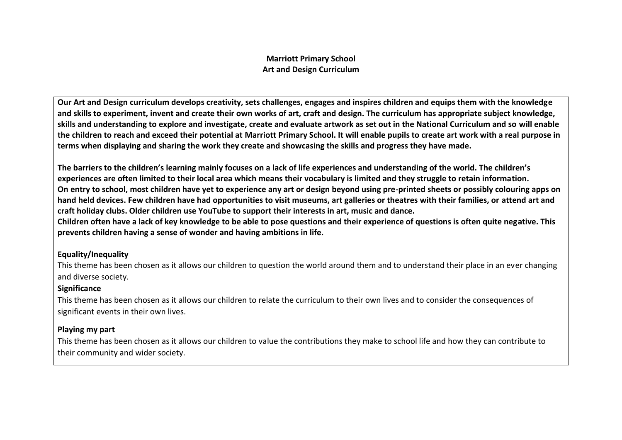### **Marriott Primary School Art and Design Curriculum**

**Our Art and Design curriculum develops creativity, sets challenges, engages and inspires children and equips them with the knowledge and skills to experiment, invent and create their own works of art, craft and design. The curriculum has appropriate subject knowledge, skills and understanding to explore and investigate, create and evaluate artwork as set out in the National Curriculum and so will enable the children to reach and exceed their potential at Marriott Primary School. It will enable pupils to create art work with a real purpose in terms when displaying and sharing the work they create and showcasing the skills and progress they have made.**

**The barriers to the children's learning mainly focuses on a lack of life experiences and understanding of the world. The children's experiences are often limited to their local area which means their vocabulary is limited and they struggle to retain information. On entry to school, most children have yet to experience any art or design beyond using pre-printed sheets or possibly colouring apps on hand held devices. Few children have had opportunities to visit museums, art galleries or theatres with their families, or attend art and craft holiday clubs. Older children use YouTube to support their interests in art, music and dance. Children often have a lack of key knowledge to be able to pose questions and their experience of questions is often quite negative. This** 

**prevents children having a sense of wonder and having ambitions in life.**

## **Equality/Inequality**

This theme has been chosen as it allows our children to question the world around them and to understand their place in an ever changing and diverse society.

## **Significance**

This theme has been chosen as it allows our children to relate the curriculum to their own lives and to consider the consequences of significant events in their own lives.

## **Playing my part**

This theme has been chosen as it allows our children to value the contributions they make to school life and how they can contribute to their community and wider society.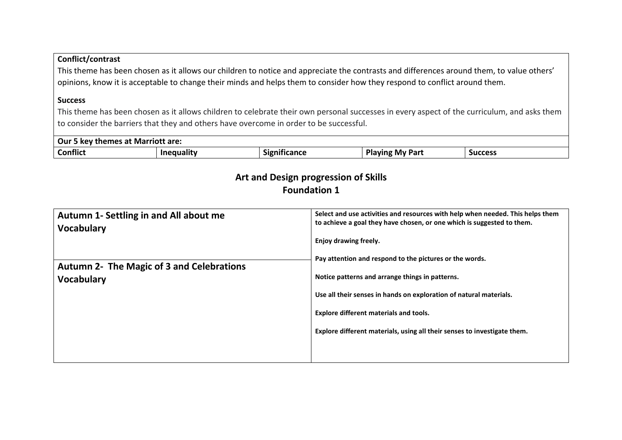# **Conflict/contrast**

This theme has been chosen as it allows our children to notice and appreciate the contrasts and differences around them, to value others' opinions, know it is acceptable to change their minds and helps them to consider how they respond to conflict around them.

#### **Success**

This theme has been chosen as it allows children to celebrate their own personal successes in every aspect of the curriculum, and asks them to consider the barriers that they and others have overcome in order to be successful.

| Our<br>rriott are.<br>at Mari<br>.<br>mes<br>кеу<br>-cne: |     |                                               |                                           |                |
|-----------------------------------------------------------|-----|-----------------------------------------------|-------------------------------------------|----------------|
| <b>Conflict</b>                                           | uuu | $\overline{\phantom{a}}$<br>.<br>''9اد<br>mcc | m.<br><b>My Part</b><br><b>MINL</b><br>па | <b>Success</b> |

# **Art and Design progression of Skills Foundation 1**

| Autumn 1- Settling in and All about me<br><b>Vocabulary</b> | Select and use activities and resources with help when needed. This helps them<br>to achieve a goal they have chosen, or one which is suggested to them. |
|-------------------------------------------------------------|----------------------------------------------------------------------------------------------------------------------------------------------------------|
| <b>Autumn 2- The Magic of 3 and Celebrations</b>            | Enjoy drawing freely.<br>Pay attention and respond to the pictures or the words.                                                                         |
| <b>Vocabulary</b>                                           | Notice patterns and arrange things in patterns.<br>Use all their senses in hands on exploration of natural materials.                                    |
|                                                             | <b>Explore different materials and tools.</b><br>Explore different materials, using all their senses to investigate them.                                |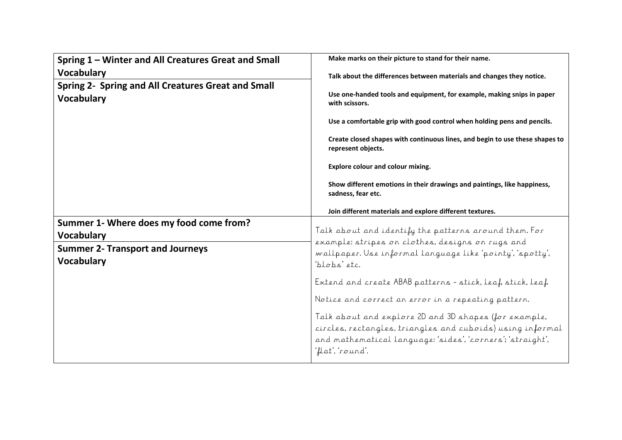| Spring 1 - Winter and All Creatures Great and Small<br><b>Vocabulary</b><br>Spring 2- Spring and All Creatures Great and Small<br><b>Vocabulary</b> | Make marks on their picture to stand for their name.<br>Talk about the differences between materials and changes they notice.<br>Use one-handed tools and equipment, for example, making snips in paper<br>with scissors.<br>Use a comfortable grip with good control when holding pens and pencils.<br>Create closed shapes with continuous lines, and begin to use these shapes to<br>represent objects.<br><b>Explore colour and colour mixing.</b><br>Show different emotions in their drawings and paintings, like happiness,<br>sadness, fear etc.                        |  |
|-----------------------------------------------------------------------------------------------------------------------------------------------------|---------------------------------------------------------------------------------------------------------------------------------------------------------------------------------------------------------------------------------------------------------------------------------------------------------------------------------------------------------------------------------------------------------------------------------------------------------------------------------------------------------------------------------------------------------------------------------|--|
| Summer 1- Where does my food come from?<br><b>Vocabulary</b><br><b>Summer 2- Transport and Journeys</b><br><b>Vocabulary</b>                        | Join different materials and explore different textures.<br>Talk about and identify the patterns around them. For<br>example: stripes on clothes, designs on rugs and<br>wallpaper. Use informal language like 'pointy', 'spotty',<br>'blobs' etc.<br>Extend and create ABAB patterns - stick, leaf stick, leaf<br>Notice and correct an error in a repeating pattern.<br>Talk about and explore 2D and 3D shapes (for example,<br>circles, rectangles, triangles and cuboids) using informal<br>and mathematical language: 'sides', 'corners'; 'straight',<br>'flat', 'round'. |  |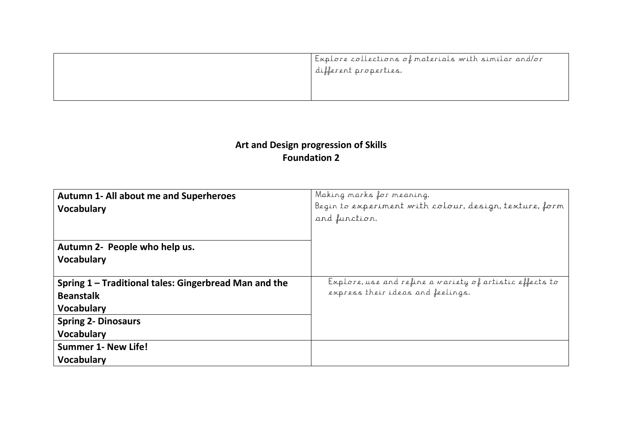| Explore collections of materials with similar and/or<br>different properties. |
|-------------------------------------------------------------------------------|
|                                                                               |

# **Art and Design progression of Skills Foundation 2**

| <b>Autumn 1- All about me and Superheroes</b><br><b>Vocabulary</b>                             | Making marks for meaning.<br>Begin to experiment with colour, design, texture, form<br>and function. |
|------------------------------------------------------------------------------------------------|------------------------------------------------------------------------------------------------------|
| Autumn 2- People who help us.<br><b>Vocabulary</b>                                             |                                                                                                      |
| Spring 1 - Traditional tales: Gingerbread Man and the<br><b>Beanstalk</b><br><b>Vocabulary</b> | Explore, use and refine a variety of artistic effects to<br>express their ideas and feelings.        |
| <b>Spring 2- Dinosaurs</b><br><b>Vocabulary</b>                                                |                                                                                                      |
| <b>Summer 1- New Life!</b><br><b>Vocabulary</b>                                                |                                                                                                      |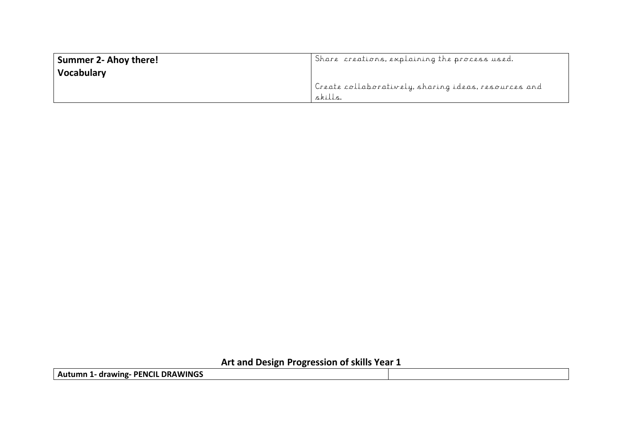| <b>Summer 2- Ahoy there!</b><br><b>Vocabulary</b> | Share creations, explaining the process used.                   |
|---------------------------------------------------|-----------------------------------------------------------------|
|                                                   | Create collaboratively, sharing ideas, resources and<br>skills. |

**Art and Design Progression of skills Year 1**

**Autumn 1- drawing- PENCIL DRAWINGS**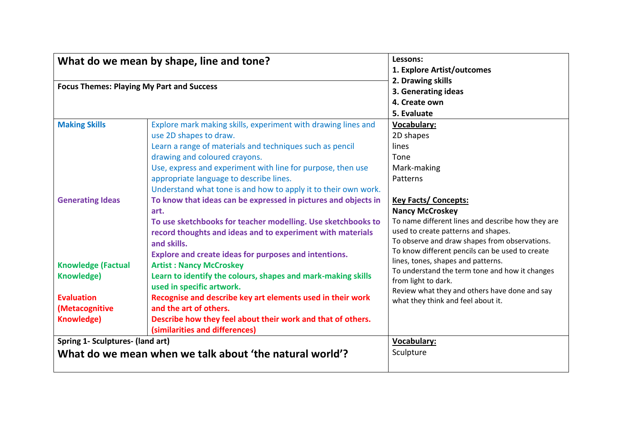| What do we mean by shape, line and tone?<br><b>Focus Themes: Playing My Part and Success</b> |                                                                                                                                                                                                                                                                                                                                                                  | Lessons:<br>1. Explore Artist/outcomes<br>2. Drawing skills                                                                                                                                                                                           |  |
|----------------------------------------------------------------------------------------------|------------------------------------------------------------------------------------------------------------------------------------------------------------------------------------------------------------------------------------------------------------------------------------------------------------------------------------------------------------------|-------------------------------------------------------------------------------------------------------------------------------------------------------------------------------------------------------------------------------------------------------|--|
|                                                                                              |                                                                                                                                                                                                                                                                                                                                                                  | 3. Generating ideas<br>4. Create own<br>5. Evaluate                                                                                                                                                                                                   |  |
| <b>Making Skills</b>                                                                         | Explore mark making skills, experiment with drawing lines and<br>use 2D shapes to draw.<br>Learn a range of materials and techniques such as pencil<br>drawing and coloured crayons.<br>Use, express and experiment with line for purpose, then use<br>appropriate language to describe lines.<br>Understand what tone is and how to apply it to their own work. | <b>Vocabulary:</b><br>2D shapes<br>lines<br>Tone<br>Mark-making<br>Patterns                                                                                                                                                                           |  |
| <b>Generating Ideas</b>                                                                      | To know that ideas can be expressed in pictures and objects in<br>art.<br>To use sketchbooks for teacher modelling. Use sketchbooks to<br>record thoughts and ideas and to experiment with materials<br>and skills.<br><b>Explore and create ideas for purposes and intentions.</b>                                                                              | <b>Key Facts/ Concepts:</b><br><b>Nancy McCroskey</b><br>To name different lines and describe how they are<br>used to create patterns and shapes.<br>To observe and draw shapes from observations.<br>To know different pencils can be used to create |  |
| <b>Knowledge (Factual</b><br>Knowledge)                                                      | <b>Artist: Nancy McCroskey</b><br>Learn to identify the colours, shapes and mark-making skills<br>used in specific artwork.                                                                                                                                                                                                                                      | lines, tones, shapes and patterns.<br>To understand the term tone and how it changes<br>from light to dark.<br>Review what they and others have done and say                                                                                          |  |
| <b>Evaluation</b><br>(Metacognitive<br><b>Knowledge)</b>                                     | Recognise and describe key art elements used in their work<br>and the art of others.<br>Describe how they feel about their work and that of others.<br>(similarities and differences)                                                                                                                                                                            | what they think and feel about it.                                                                                                                                                                                                                    |  |
| Spring 1- Sculptures- (land art)                                                             | What do we mean when we talk about 'the natural world'?                                                                                                                                                                                                                                                                                                          | <b>Vocabulary:</b><br>Sculpture                                                                                                                                                                                                                       |  |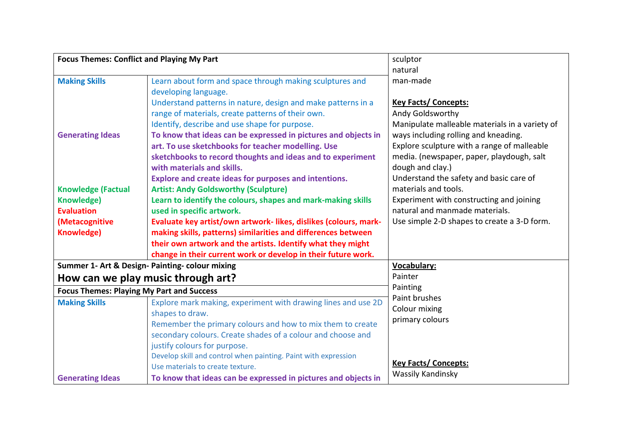| <b>Focus Themes: Conflict and Playing My Part</b>                         |                                                                                                                                                                                                                                                                                                                                                                                                                                                                                                                                                                       | sculptor                                                                                                                                                                                                                                                                                                                                                                 |
|---------------------------------------------------------------------------|-----------------------------------------------------------------------------------------------------------------------------------------------------------------------------------------------------------------------------------------------------------------------------------------------------------------------------------------------------------------------------------------------------------------------------------------------------------------------------------------------------------------------------------------------------------------------|--------------------------------------------------------------------------------------------------------------------------------------------------------------------------------------------------------------------------------------------------------------------------------------------------------------------------------------------------------------------------|
|                                                                           |                                                                                                                                                                                                                                                                                                                                                                                                                                                                                                                                                                       | natural                                                                                                                                                                                                                                                                                                                                                                  |
| <b>Making Skills</b>                                                      | Learn about form and space through making sculptures and<br>developing language.                                                                                                                                                                                                                                                                                                                                                                                                                                                                                      | man-made                                                                                                                                                                                                                                                                                                                                                                 |
| <b>Generating Ideas</b><br><b>Knowledge (Factual</b><br><b>Knowledge)</b> | Understand patterns in nature, design and make patterns in a<br>range of materials, create patterns of their own.<br>Identify, describe and use shape for purpose.<br>To know that ideas can be expressed in pictures and objects in<br>art. To use sketchbooks for teacher modelling. Use<br>sketchbooks to record thoughts and ideas and to experiment<br>with materials and skills.<br><b>Explore and create ideas for purposes and intentions.</b><br><b>Artist: Andy Goldsworthy (Sculpture)</b><br>Learn to identify the colours, shapes and mark-making skills | <b>Key Facts/ Concepts:</b><br>Andy Goldsworthy<br>Manipulate malleable materials in a variety of<br>ways including rolling and kneading.<br>Explore sculpture with a range of malleable<br>media. (newspaper, paper, playdough, salt<br>dough and clay.)<br>Understand the safety and basic care of<br>materials and tools.<br>Experiment with constructing and joining |
| <b>Evaluation</b>                                                         | used in specific artwork.                                                                                                                                                                                                                                                                                                                                                                                                                                                                                                                                             | natural and manmade materials.                                                                                                                                                                                                                                                                                                                                           |
| (Metacognitive                                                            | Evaluate key artist/own artwork-likes, dislikes (colours, mark-                                                                                                                                                                                                                                                                                                                                                                                                                                                                                                       | Use simple 2-D shapes to create a 3-D form.                                                                                                                                                                                                                                                                                                                              |
| <b>Knowledge)</b>                                                         | making skills, patterns) similarities and differences between                                                                                                                                                                                                                                                                                                                                                                                                                                                                                                         |                                                                                                                                                                                                                                                                                                                                                                          |
|                                                                           | their own artwork and the artists. Identify what they might                                                                                                                                                                                                                                                                                                                                                                                                                                                                                                           |                                                                                                                                                                                                                                                                                                                                                                          |
|                                                                           | change in their current work or develop in their future work.                                                                                                                                                                                                                                                                                                                                                                                                                                                                                                         |                                                                                                                                                                                                                                                                                                                                                                          |
|                                                                           | Summer 1- Art & Design- Painting- colour mixing                                                                                                                                                                                                                                                                                                                                                                                                                                                                                                                       | <b>Vocabulary:</b>                                                                                                                                                                                                                                                                                                                                                       |
|                                                                           | How can we play music through art?                                                                                                                                                                                                                                                                                                                                                                                                                                                                                                                                    | Painter                                                                                                                                                                                                                                                                                                                                                                  |
| <b>Focus Themes: Playing My Part and Success</b>                          |                                                                                                                                                                                                                                                                                                                                                                                                                                                                                                                                                                       | Painting                                                                                                                                                                                                                                                                                                                                                                 |
| <b>Making Skills</b>                                                      | Explore mark making, experiment with drawing lines and use 2D<br>shapes to draw.<br>Remember the primary colours and how to mix them to create<br>secondary colours. Create shades of a colour and choose and<br>justify colours for purpose.<br>Develop skill and control when painting. Paint with expression<br>Use materials to create texture.                                                                                                                                                                                                                   | Paint brushes<br>Colour mixing<br>primary colours<br><b>Key Facts/ Concepts:</b><br>Wassily Kandinsky                                                                                                                                                                                                                                                                    |
| <b>Generating Ideas</b>                                                   | To know that ideas can be expressed in pictures and objects in                                                                                                                                                                                                                                                                                                                                                                                                                                                                                                        |                                                                                                                                                                                                                                                                                                                                                                          |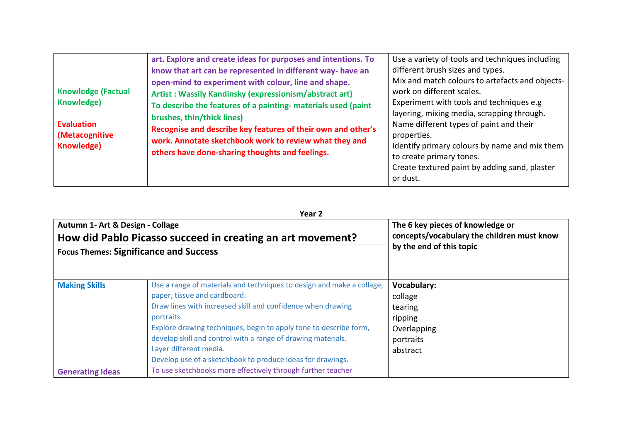| <b>Knowledge (Factual</b><br>Knowledge)<br><b>Evaluation</b><br>(Metacognitive<br><b>Knowledge)</b> | art. Explore and create ideas for purposes and intentions. To<br>know that art can be represented in different way- have an<br>open-mind to experiment with colour, line and shape.<br>Artist: Wassily Kandinsky (expressionism/abstract art)<br>To describe the features of a painting- materials used (paint<br>brushes, thin/thick lines)<br>Recognise and describe key features of their own and other's<br>work. Annotate sketchbook work to review what they and<br>others have done-sharing thoughts and feelings. | Use a variety of tools and techniques including<br>different brush sizes and types.<br>Mix and match colours to artefacts and objects-<br>work on different scales.<br>Experiment with tools and techniques e.g.<br>layering, mixing media, scrapping through.<br>Name different types of paint and their<br>properties.<br>Identify primary colours by name and mix them<br>to create primary tones.<br>Create textured paint by adding sand, plaster<br>or dust. |
|-----------------------------------------------------------------------------------------------------|---------------------------------------------------------------------------------------------------------------------------------------------------------------------------------------------------------------------------------------------------------------------------------------------------------------------------------------------------------------------------------------------------------------------------------------------------------------------------------------------------------------------------|--------------------------------------------------------------------------------------------------------------------------------------------------------------------------------------------------------------------------------------------------------------------------------------------------------------------------------------------------------------------------------------------------------------------------------------------------------------------|
|-----------------------------------------------------------------------------------------------------|---------------------------------------------------------------------------------------------------------------------------------------------------------------------------------------------------------------------------------------------------------------------------------------------------------------------------------------------------------------------------------------------------------------------------------------------------------------------------------------------------------------------------|--------------------------------------------------------------------------------------------------------------------------------------------------------------------------------------------------------------------------------------------------------------------------------------------------------------------------------------------------------------------------------------------------------------------------------------------------------------------|

**Year 2**

| Autumn 1- Art & Design - Collage<br>How did Pablo Picasso succeed in creating an art movement?<br><b>Focus Themes: Significance and Success</b> |                                                                                                                                                                                                                                                                                                                                                                                                                 | The 6 key pieces of knowledge or<br>concepts/vocabulary the children must know<br>by the end of this topic |
|-------------------------------------------------------------------------------------------------------------------------------------------------|-----------------------------------------------------------------------------------------------------------------------------------------------------------------------------------------------------------------------------------------------------------------------------------------------------------------------------------------------------------------------------------------------------------------|------------------------------------------------------------------------------------------------------------|
| <b>Making Skills</b>                                                                                                                            | Use a range of materials and techniques to design and make a collage,<br>paper, tissue and cardboard.<br>Draw lines with increased skill and confidence when drawing<br>portraits.<br>Explore drawing techniques, begin to apply tone to describe form,<br>develop skill and control with a range of drawing materials.<br>Layer different media.<br>Develop use of a sketchbook to produce ideas for drawings. | <b>Vocabulary:</b><br>collage<br>tearing<br>ripping<br>Overlapping<br>portraits<br>abstract                |
| <b>Generating Ideas</b>                                                                                                                         | To use sketchbooks more effectively through further teacher                                                                                                                                                                                                                                                                                                                                                     |                                                                                                            |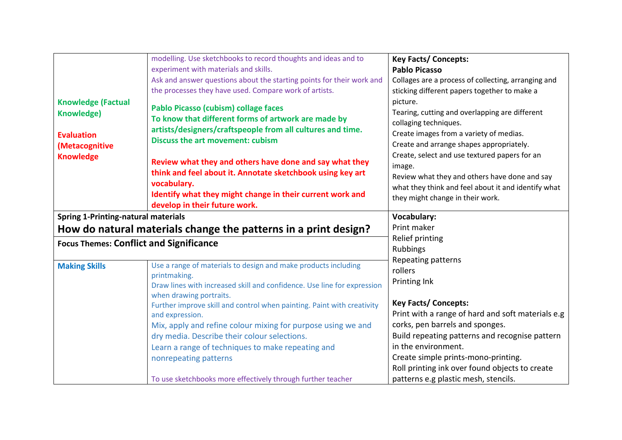|                                                | modelling. Use sketchbooks to record thoughts and ideas and to          | <b>Key Facts/ Concepts:</b>                         |
|------------------------------------------------|-------------------------------------------------------------------------|-----------------------------------------------------|
|                                                | experiment with materials and skills.                                   | <b>Pablo Picasso</b>                                |
|                                                | Ask and answer questions about the starting points for their work and   | Collages are a process of collecting, arranging and |
|                                                | the processes they have used. Compare work of artists.                  | sticking different papers together to make a        |
| <b>Knowledge (Factual</b>                      |                                                                         | picture.                                            |
| <b>Knowledge)</b>                              | Pablo Picasso (cubism) collage faces                                    | Tearing, cutting and overlapping are different      |
|                                                | To know that different forms of artwork are made by                     | collaging techniques.                               |
| <b>Evaluation</b>                              | artists/designers/craftspeople from all cultures and time.              | Create images from a variety of medias.             |
| (Metacognitive                                 | <b>Discuss the art movement: cubism</b>                                 | Create and arrange shapes appropriately.            |
| <b>Knowledge</b>                               |                                                                         | Create, select and use textured papers for an       |
|                                                | Review what they and others have done and say what they                 | image.                                              |
|                                                | think and feel about it. Annotate sketchbook using key art              | Review what they and others have done and say       |
|                                                | vocabulary.                                                             | what they think and feel about it and identify what |
|                                                | Identify what they might change in their current work and               | they might change in their work.                    |
|                                                | develop in their future work.                                           |                                                     |
| <b>Spring 1-Printing-natural materials</b>     |                                                                         | <b>Vocabulary:</b>                                  |
|                                                | How do natural materials change the patterns in a print design?         | Print maker                                         |
| <b>Focus Themes: Conflict and Significance</b> |                                                                         | Relief printing                                     |
|                                                |                                                                         | <b>Rubbings</b>                                     |
| <b>Making Skills</b>                           | Use a range of materials to design and make products including          | Repeating patterns                                  |
|                                                | printmaking.                                                            | rollers                                             |
|                                                | Draw lines with increased skill and confidence. Use line for expression | Printing Ink                                        |
|                                                | when drawing portraits.                                                 |                                                     |
|                                                | Further improve skill and control when painting. Paint with creativity  | <b>Key Facts/ Concepts:</b>                         |
|                                                | and expression.                                                         | Print with a range of hard and soft materials e.g   |
|                                                | Mix, apply and refine colour mixing for purpose using we and            | corks, pen barrels and sponges.                     |
|                                                | dry media. Describe their colour selections.                            | Build repeating patterns and recognise pattern      |
|                                                | Learn a range of techniques to make repeating and                       | in the environment.                                 |
|                                                | nonrepeating patterns                                                   | Create simple prints-mono-printing.                 |
|                                                |                                                                         | Roll printing ink over found objects to create      |
|                                                | To use sketchbooks more effectively through further teacher             | patterns e.g plastic mesh, stencils.                |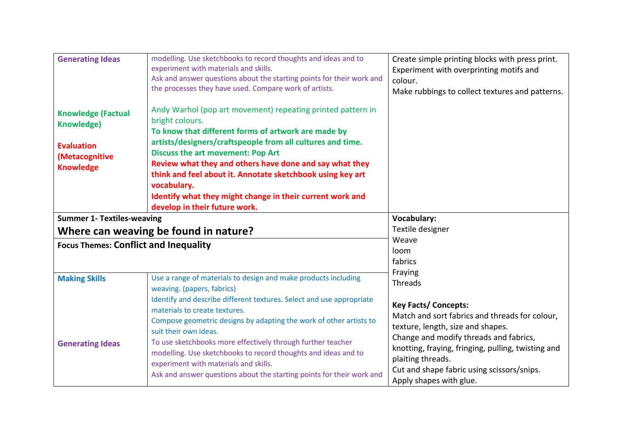| <b>Generating Ideas</b>                                                                                   | modelling. Use sketchbooks to record thoughts and ideas and to<br>experiment with materials and skills.<br>Ask and answer questions about the starting points for their work and<br>the processes they have used. Compare work of artists.                                                                                                                                                                                                                                            | Create simple printing blocks with press print.<br>Experiment with overprinting motifs and<br>colour.<br>Make rubbings to collect textures and patterns.                           |
|-----------------------------------------------------------------------------------------------------------|---------------------------------------------------------------------------------------------------------------------------------------------------------------------------------------------------------------------------------------------------------------------------------------------------------------------------------------------------------------------------------------------------------------------------------------------------------------------------------------|------------------------------------------------------------------------------------------------------------------------------------------------------------------------------------|
| <b>Knowledge (Factual</b><br><b>Knowledge)</b><br><b>Evaluation</b><br>(Metacognitive<br><b>Knowledge</b> | Andy Warhol (pop art movement) repeating printed pattern in<br>bright colours.<br>To know that different forms of artwork are made by<br>artists/designers/craftspeople from all cultures and time.<br><b>Discuss the art movement: Pop Art</b><br>Review what they and others have done and say what they<br>think and feel about it. Annotate sketchbook using key art<br>vocabulary.<br>Identify what they might change in their current work and<br>develop in their future work. |                                                                                                                                                                                    |
| <b>Summer 1- Textiles-weaving</b>                                                                         |                                                                                                                                                                                                                                                                                                                                                                                                                                                                                       | <b>Vocabulary:</b>                                                                                                                                                                 |
|                                                                                                           | Where can weaving be found in nature?                                                                                                                                                                                                                                                                                                                                                                                                                                                 | Textile designer                                                                                                                                                                   |
| <b>Focus Themes: Conflict and Inequality</b>                                                              |                                                                                                                                                                                                                                                                                                                                                                                                                                                                                       | Weave<br>loom<br>fabrics                                                                                                                                                           |
| <b>Making Skills</b>                                                                                      | Use a range of materials to design and make products including<br>weaving. (papers, fabrics)<br>Identify and describe different textures. Select and use appropriate<br>materials to create textures.<br>Compose geometric designs by adapting the work of other artists to<br>suit their own ideas.                                                                                                                                                                                  | Fraying<br>Threads<br><b>Key Facts/ Concepts:</b><br>Match and sort fabrics and threads for colour,<br>texture, length, size and shapes.<br>Change and modify threads and fabrics, |
| <b>Generating Ideas</b>                                                                                   | To use sketchbooks more effectively through further teacher<br>modelling. Use sketchbooks to record thoughts and ideas and to<br>experiment with materials and skills.<br>Ask and answer questions about the starting points for their work and                                                                                                                                                                                                                                       | knotting, fraying, fringing, pulling, twisting and<br>plaiting threads.<br>Cut and shape fabric using scissors/snips.<br>Apply shapes with glue.                                   |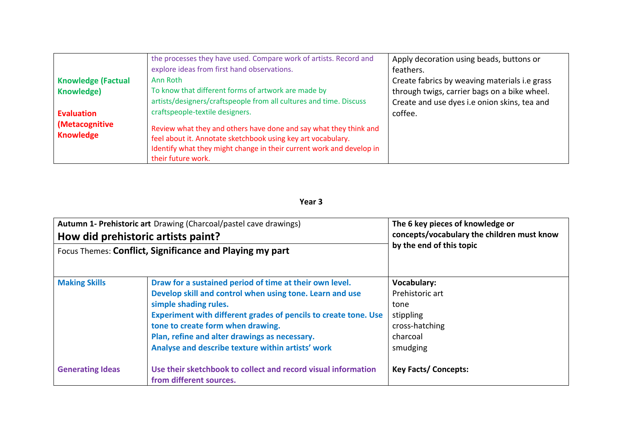|                                    | the processes they have used. Compare work of artists. Record and                                                                                                                                                               | Apply decoration using beads, buttons or      |
|------------------------------------|---------------------------------------------------------------------------------------------------------------------------------------------------------------------------------------------------------------------------------|-----------------------------------------------|
|                                    | explore ideas from first hand observations.                                                                                                                                                                                     | feathers.                                     |
| <b>Knowledge (Factual</b>          | Ann Roth                                                                                                                                                                                                                        | Create fabrics by weaving materials i.e grass |
| Knowledge)                         | To know that different forms of artwork are made by                                                                                                                                                                             | through twigs, carrier bags on a bike wheel.  |
|                                    | artists/designers/craftspeople from all cultures and time. Discuss                                                                                                                                                              | Create and use dyes i.e onion skins, tea and  |
| <b>Evaluation</b>                  | craftspeople-textile designers.                                                                                                                                                                                                 | coffee.                                       |
| (Metacognitive<br><b>Knowledge</b> | Review what they and others have done and say what they think and<br>feel about it. Annotate sketchbook using key art vocabulary.<br>Identify what they might change in their current work and develop in<br>their future work. |                                               |

| Autumn 1- Prehistoric art Drawing (Charcoal/pastel cave drawings)<br>How did prehistoric artists paint?<br>Focus Themes: Conflict, Significance and Playing my part |                                                                                                                                                                                                                                                                                                                                                            | The 6 key pieces of knowledge or<br>concepts/vocabulary the children must know<br>by the end of this topic |
|---------------------------------------------------------------------------------------------------------------------------------------------------------------------|------------------------------------------------------------------------------------------------------------------------------------------------------------------------------------------------------------------------------------------------------------------------------------------------------------------------------------------------------------|------------------------------------------------------------------------------------------------------------|
| <b>Making Skills</b>                                                                                                                                                | Draw for a sustained period of time at their own level.<br>Develop skill and control when using tone. Learn and use<br>simple shading rules.<br>Experiment with different grades of pencils to create tone. Use<br>tone to create form when drawing.<br>Plan, refine and alter drawings as necessary.<br>Analyse and describe texture within artists' work | <b>Vocabulary:</b><br>Prehistoric art<br>tone<br>stippling<br>cross-hatching<br>charcoal<br>smudging       |
| <b>Generating Ideas</b>                                                                                                                                             | Use their sketchbook to collect and record visual information<br>from different sources.                                                                                                                                                                                                                                                                   | <b>Key Facts/ Concepts:</b>                                                                                |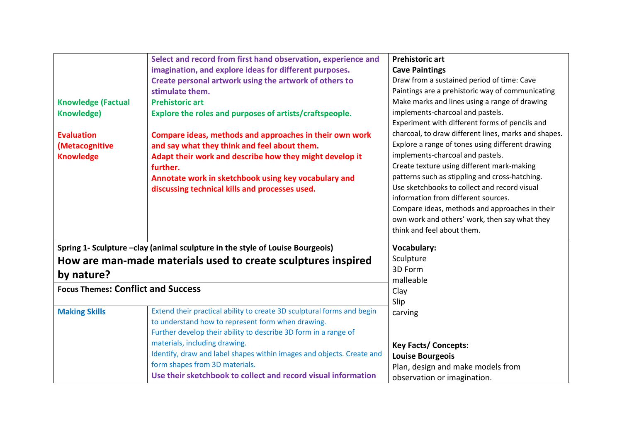|                                           | Select and record from first hand observation, experience and                  | <b>Prehistoric art</b>                               |
|-------------------------------------------|--------------------------------------------------------------------------------|------------------------------------------------------|
|                                           | imagination, and explore ideas for different purposes.                         | <b>Cave Paintings</b>                                |
|                                           | Create personal artwork using the artwork of others to                         | Draw from a sustained period of time: Cave           |
|                                           | stimulate them.                                                                | Paintings are a prehistoric way of communicating     |
| <b>Knowledge (Factual</b>                 | <b>Prehistoric art</b>                                                         | Make marks and lines using a range of drawing        |
| <b>Knowledge)</b>                         | Explore the roles and purposes of artists/craftspeople.                        | implements-charcoal and pastels.                     |
|                                           |                                                                                | Experiment with different forms of pencils and       |
| <b>Evaluation</b>                         | Compare ideas, methods and approaches in their own work                        | charcoal, to draw different lines, marks and shapes. |
| (Metacognitive                            | and say what they think and feel about them.                                   | Explore a range of tones using different drawing     |
| <b>Knowledge</b>                          | Adapt their work and describe how they might develop it                        | implements-charcoal and pastels.                     |
|                                           | further.                                                                       | Create texture using different mark-making           |
|                                           | Annotate work in sketchbook using key vocabulary and                           | patterns such as stippling and cross-hatching.       |
|                                           | discussing technical kills and processes used.                                 | Use sketchbooks to collect and record visual         |
|                                           |                                                                                | information from different sources.                  |
|                                           |                                                                                | Compare ideas, methods and approaches in their       |
|                                           |                                                                                | own work and others' work, then say what they        |
|                                           |                                                                                | think and feel about them.                           |
|                                           | Spring 1- Sculpture - clay (animal sculpture in the style of Louise Bourgeois) | Vocabulary:                                          |
|                                           | How are man-made materials used to create sculptures inspired                  | Sculpture                                            |
| by nature?                                |                                                                                | 3D Form                                              |
| <b>Focus Themes: Conflict and Success</b> |                                                                                | malleable                                            |
|                                           |                                                                                | Clay                                                 |
| <b>Making Skills</b>                      | Extend their practical ability to create 3D sculptural forms and begin         | Slip<br>carving                                      |
|                                           | to understand how to represent form when drawing.                              |                                                      |
|                                           | Further develop their ability to describe 3D form in a range of                |                                                      |
|                                           | materials, including drawing.                                                  | <b>Key Facts/ Concepts:</b>                          |
|                                           | Identify, draw and label shapes within images and objects. Create and          | <b>Louise Bourgeois</b>                              |
|                                           | form shapes from 3D materials.                                                 | Plan, design and make models from                    |
|                                           | Use their sketchbook to collect and record visual information                  | observation or imagination.                          |
|                                           |                                                                                |                                                      |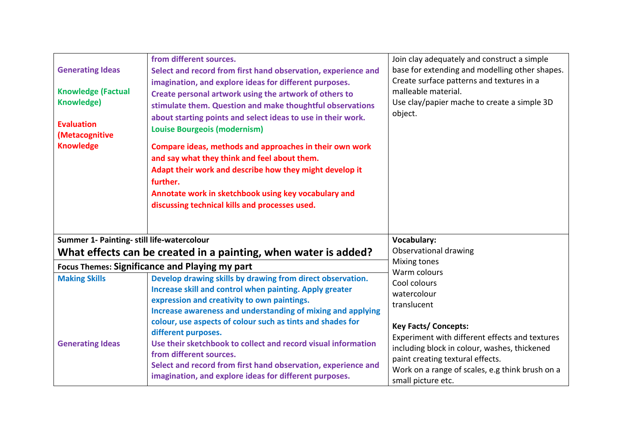| <b>Generating Ideas</b><br><b>Knowledge (Factual</b><br><b>Knowledge)</b><br><b>Evaluation</b><br>(Metacognitive<br><b>Knowledge</b> | from different sources.<br>Select and record from first hand observation, experience and<br>imagination, and explore ideas for different purposes.<br>Create personal artwork using the artwork of others to<br>stimulate them. Question and make thoughtful observations<br>about starting points and select ideas to use in their work.<br><b>Louise Bourgeois (modernism)</b><br>Compare ideas, methods and approaches in their own work<br>and say what they think and feel about them.<br>Adapt their work and describe how they might develop it<br>further.<br>Annotate work in sketchbook using key vocabulary and<br>discussing technical kills and processes used. | Join clay adequately and construct a simple<br>base for extending and modelling other shapes.<br>Create surface patterns and textures in a<br>malleable material.<br>Use clay/papier mache to create a simple 3D<br>object. |
|--------------------------------------------------------------------------------------------------------------------------------------|------------------------------------------------------------------------------------------------------------------------------------------------------------------------------------------------------------------------------------------------------------------------------------------------------------------------------------------------------------------------------------------------------------------------------------------------------------------------------------------------------------------------------------------------------------------------------------------------------------------------------------------------------------------------------|-----------------------------------------------------------------------------------------------------------------------------------------------------------------------------------------------------------------------------|
| Summer 1- Painting- still life-watercolour                                                                                           |                                                                                                                                                                                                                                                                                                                                                                                                                                                                                                                                                                                                                                                                              | <b>Vocabulary:</b>                                                                                                                                                                                                          |
|                                                                                                                                      | What effects can be created in a painting, when water is added?                                                                                                                                                                                                                                                                                                                                                                                                                                                                                                                                                                                                              | Observational drawing<br>Mixing tones                                                                                                                                                                                       |
|                                                                                                                                      | Focus Themes: Significance and Playing my part                                                                                                                                                                                                                                                                                                                                                                                                                                                                                                                                                                                                                               | Warm colours                                                                                                                                                                                                                |
| <b>Making Skills</b>                                                                                                                 | Develop drawing skills by drawing from direct observation.<br>Increase skill and control when painting. Apply greater<br>expression and creativity to own paintings.<br>Increase awareness and understanding of mixing and applying<br>colour, use aspects of colour such as tints and shades for<br>different purposes.                                                                                                                                                                                                                                                                                                                                                     | Cool colours<br>watercolour<br>translucent<br><b>Key Facts/ Concepts:</b><br>Experiment with different effects and textures                                                                                                 |
| <b>Generating Ideas</b>                                                                                                              | Use their sketchbook to collect and record visual information<br>from different sources.<br>Select and record from first hand observation, experience and<br>imagination, and explore ideas for different purposes.                                                                                                                                                                                                                                                                                                                                                                                                                                                          | including block in colour, washes, thickened<br>paint creating textural effects.<br>Work on a range of scales, e.g think brush on a<br>small picture etc.                                                                   |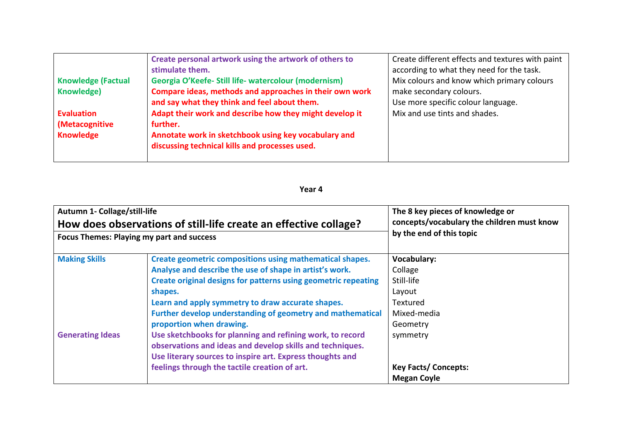|                           | Create personal artwork using the artwork of others to  | Create different effects and textures with paint |
|---------------------------|---------------------------------------------------------|--------------------------------------------------|
|                           | stimulate them.                                         | according to what they need for the task.        |
| <b>Knowledge (Factual</b> | Georgia O'Keefe- Still life- watercolour (modernism)    | Mix colours and know which primary colours       |
| <b>Knowledge)</b>         | Compare ideas, methods and approaches in their own work | make secondary colours.                          |
|                           | and say what they think and feel about them.            | Use more specific colour language.               |
| <b>Evaluation</b>         | Adapt their work and describe how they might develop it | Mix and use tints and shades.                    |
| (Metacognitive            | further.                                                |                                                  |
| <b>Knowledge</b>          | Annotate work in sketchbook using key vocabulary and    |                                                  |
|                           | discussing technical kills and processes used.          |                                                  |
|                           |                                                         |                                                  |

| Autumn 1- Collage/still-life                                     |                                                                                                                                                                                                                                                                                                                                                                                                                                                                                                                                                                                         | The 8 key pieces of knowledge or                                                                                                                              |
|------------------------------------------------------------------|-----------------------------------------------------------------------------------------------------------------------------------------------------------------------------------------------------------------------------------------------------------------------------------------------------------------------------------------------------------------------------------------------------------------------------------------------------------------------------------------------------------------------------------------------------------------------------------------|---------------------------------------------------------------------------------------------------------------------------------------------------------------|
| How does observations of still-life create an effective collage? |                                                                                                                                                                                                                                                                                                                                                                                                                                                                                                                                                                                         | concepts/vocabulary the children must know                                                                                                                    |
| <b>Focus Themes: Playing my part and success</b>                 |                                                                                                                                                                                                                                                                                                                                                                                                                                                                                                                                                                                         | by the end of this topic                                                                                                                                      |
| <b>Making Skills</b><br><b>Generating Ideas</b>                  | Create geometric compositions using mathematical shapes.<br>Analyse and describe the use of shape in artist's work.<br>Create original designs for patterns using geometric repeating<br>shapes.<br>Learn and apply symmetry to draw accurate shapes.<br>Further develop understanding of geometry and mathematical<br>proportion when drawing.<br>Use sketchbooks for planning and refining work, to record<br>observations and ideas and develop skills and techniques.<br>Use literary sources to inspire art. Express thoughts and<br>feelings through the tactile creation of art. | <b>Vocabulary:</b><br>Collage<br>Still-life<br>Layout<br>Textured<br>Mixed-media<br>Geometry<br>symmetry<br><b>Key Facts/ Concepts:</b><br><b>Megan Coyle</b> |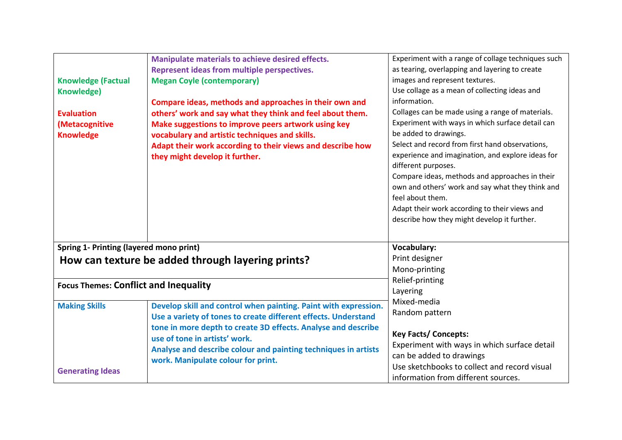|                                                | Manipulate materials to achieve desired effects.                | Experiment with a range of collage techniques such |
|------------------------------------------------|-----------------------------------------------------------------|----------------------------------------------------|
|                                                | Represent ideas from multiple perspectives.                     | as tearing, overlapping and layering to create     |
| <b>Knowledge (Factual</b>                      | <b>Megan Coyle (contemporary)</b>                               | images and represent textures.                     |
| <b>Knowledge)</b>                              |                                                                 | Use collage as a mean of collecting ideas and      |
|                                                | Compare ideas, methods and approaches in their own and          | information.                                       |
| <b>Evaluation</b>                              | others' work and say what they think and feel about them.       | Collages can be made using a range of materials.   |
| (Metacognitive                                 | Make suggestions to improve peers artwork using key             | Experiment with ways in which surface detail can   |
| <b>Knowledge</b>                               | vocabulary and artistic techniques and skills.                  | be added to drawings.                              |
|                                                | Adapt their work according to their views and describe how      | Select and record from first hand observations,    |
|                                                | they might develop it further.                                  | experience and imagination, and explore ideas for  |
|                                                |                                                                 | different purposes.                                |
|                                                |                                                                 | Compare ideas, methods and approaches in their     |
|                                                |                                                                 | own and others' work and say what they think and   |
|                                                |                                                                 | feel about them.                                   |
|                                                |                                                                 | Adapt their work according to their views and      |
|                                                |                                                                 | describe how they might develop it further.        |
|                                                |                                                                 |                                                    |
| <b>Spring 1- Printing (layered mono print)</b> |                                                                 | <b>Vocabulary:</b>                                 |
|                                                | How can texture be added through layering prints?               | Print designer                                     |
|                                                |                                                                 | Mono-printing                                      |
|                                                |                                                                 | Relief-printing                                    |
| <b>Focus Themes: Conflict and Inequality</b>   |                                                                 | Layering                                           |
| <b>Making Skills</b>                           | Develop skill and control when painting. Paint with expression. | Mixed-media                                        |
|                                                | Use a variety of tones to create different effects. Understand  | Random pattern                                     |
|                                                | tone in more depth to create 3D effects. Analyse and describe   |                                                    |
|                                                | use of tone in artists' work.                                   | <b>Key Facts/ Concepts:</b>                        |
|                                                | Analyse and describe colour and painting techniques in artists  | Experiment with ways in which surface detail       |
|                                                | work. Manipulate colour for print.                              | can be added to drawings                           |
| <b>Generating Ideas</b>                        |                                                                 | Use sketchbooks to collect and record visual       |
|                                                |                                                                 | information from different sources.                |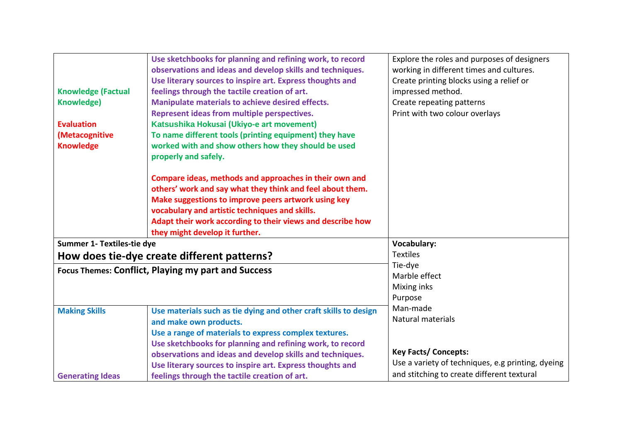|                            | Use sketchbooks for planning and refining work, to record        | Explore the roles and purposes of designers       |
|----------------------------|------------------------------------------------------------------|---------------------------------------------------|
|                            | observations and ideas and develop skills and techniques.        | working in different times and cultures.          |
|                            | Use literary sources to inspire art. Express thoughts and        | Create printing blocks using a relief or          |
| <b>Knowledge (Factual</b>  | feelings through the tactile creation of art.                    | impressed method.                                 |
| Knowledge)                 | Manipulate materials to achieve desired effects.                 | Create repeating patterns                         |
|                            | Represent ideas from multiple perspectives.                      | Print with two colour overlays                    |
| <b>Evaluation</b>          | Katsushika Hokusai (Ukiyo-e art movement)                        |                                                   |
| (Metacognitive             | To name different tools (printing equipment) they have           |                                                   |
| <b>Knowledge</b>           | worked with and show others how they should be used              |                                                   |
|                            | properly and safely.                                             |                                                   |
|                            | Compare ideas, methods and approaches in their own and           |                                                   |
|                            | others' work and say what they think and feel about them.        |                                                   |
|                            | Make suggestions to improve peers artwork using key              |                                                   |
|                            | vocabulary and artistic techniques and skills.                   |                                                   |
|                            | Adapt their work according to their views and describe how       |                                                   |
|                            | they might develop it further.                                   |                                                   |
| Summer 1- Textiles-tie dye |                                                                  | <b>Vocabulary:</b>                                |
|                            | How does tie-dye create different patterns?                      | <b>Textiles</b>                                   |
|                            | <b>Focus Themes: Conflict, Playing my part and Success</b>       | Tie-dye                                           |
|                            |                                                                  | Marble effect                                     |
|                            |                                                                  | Mixing inks                                       |
|                            |                                                                  | Purpose                                           |
| <b>Making Skills</b>       | Use materials such as tie dying and other craft skills to design | Man-made                                          |
|                            | and make own products.                                           | Natural materials                                 |
|                            | Use a range of materials to express complex textures.            |                                                   |
|                            | Use sketchbooks for planning and refining work, to record        |                                                   |
|                            | observations and ideas and develop skills and techniques.        | <b>Key Facts/ Concepts:</b>                       |
|                            | Use literary sources to inspire art. Express thoughts and        | Use a variety of techniques, e.g printing, dyeing |
| <b>Generating Ideas</b>    | feelings through the tactile creation of art.                    | and stitching to create different textural        |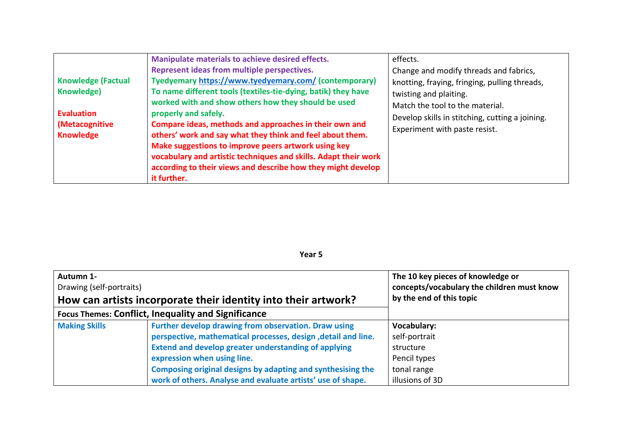|                                                              | Manipulate materials to achieve desired effects.                                                                                                                                                                                                                                                                             | effects.                                                                                                                                             |
|--------------------------------------------------------------|------------------------------------------------------------------------------------------------------------------------------------------------------------------------------------------------------------------------------------------------------------------------------------------------------------------------------|------------------------------------------------------------------------------------------------------------------------------------------------------|
| <b>Knowledge (Factual</b><br>Knowledge)<br><b>Evaluation</b> | Represent ideas from multiple perspectives.<br>Tyedyemary https://www.tyedyemary.com/ (contemporary)<br>To name different tools (textiles-tie-dying, batik) they have<br>worked with and show others how they should be used<br>properly and safely.                                                                         | Change and modify threads and fabrics,<br>knotting, fraying, fringing, pulling threads,<br>twisting and plaiting.<br>Match the tool to the material. |
| (Metacognitive<br><b>Knowledge</b>                           | Compare ideas, methods and approaches in their own and<br>others' work and say what they think and feel about them.<br>Make suggestions to improve peers artwork using key<br>vocabulary and artistic techniques and skills. Adapt their work<br>according to their views and describe how they might develop<br>it further. | Develop skills in stitching, cutting a joining.<br>Experiment with paste resist.                                                                     |

| Autumn 1-<br>Drawing (self-portraits)                          |                                                                | The 10 key pieces of knowledge or<br>concepts/vocabulary the children must know |
|----------------------------------------------------------------|----------------------------------------------------------------|---------------------------------------------------------------------------------|
| How can artists incorporate their identity into their artwork? |                                                                | by the end of this topic                                                        |
| <b>Focus Themes: Conflict, Inequality and Significance</b>     |                                                                |                                                                                 |
| <b>Making Skills</b>                                           | Further develop drawing from observation. Draw using           | <b>Vocabulary:</b>                                                              |
|                                                                | perspective, mathematical processes, design , detail and line. | self-portrait                                                                   |
|                                                                | <b>Extend and develop greater understanding of applying</b>    | structure                                                                       |
|                                                                | expression when using line.                                    | Pencil types                                                                    |
|                                                                | Composing original designs by adapting and synthesising the    | tonal range                                                                     |
|                                                                | work of others. Analyse and evaluate artists' use of shape.    | illusions of 3D                                                                 |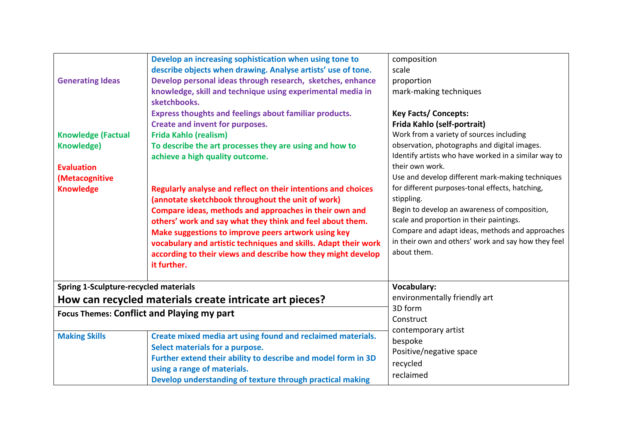| <b>Generating Ideas</b><br><b>Knowledge (Factual</b><br><b>Knowledge)</b><br><b>Evaluation</b><br>(Metacognitive<br><b>Knowledge</b> | Develop an increasing sophistication when using tone to<br>describe objects when drawing. Analyse artists' use of tone.<br>Develop personal ideas through research, sketches, enhance<br>knowledge, skill and technique using experimental media in<br>sketchbooks.<br><b>Express thoughts and feelings about familiar products.</b><br>Create and invent for purposes.<br><b>Frida Kahlo (realism)</b><br>To describe the art processes they are using and how to<br>achieve a high quality outcome.<br>Regularly analyse and reflect on their intentions and choices<br>(annotate sketchbook throughout the unit of work)<br>Compare ideas, methods and approaches in their own and<br>others' work and say what they think and feel about them.<br>Make suggestions to improve peers artwork using key<br>vocabulary and artistic techniques and skills. Adapt their work<br>according to their views and describe how they might develop<br>it further. | composition<br>scale<br>proportion<br>mark-making techniques<br><b>Key Facts/ Concepts:</b><br>Frida Kahlo (self-portrait)<br>Work from a variety of sources including<br>observation, photographs and digital images.<br>Identify artists who have worked in a similar way to<br>their own work.<br>Use and develop different mark-making techniques<br>for different purposes-tonal effects, hatching,<br>stippling.<br>Begin to develop an awareness of composition,<br>scale and proportion in their paintings.<br>Compare and adapt ideas, methods and approaches<br>in their own and others' work and say how they feel<br>about them. |
|--------------------------------------------------------------------------------------------------------------------------------------|-------------------------------------------------------------------------------------------------------------------------------------------------------------------------------------------------------------------------------------------------------------------------------------------------------------------------------------------------------------------------------------------------------------------------------------------------------------------------------------------------------------------------------------------------------------------------------------------------------------------------------------------------------------------------------------------------------------------------------------------------------------------------------------------------------------------------------------------------------------------------------------------------------------------------------------------------------------|----------------------------------------------------------------------------------------------------------------------------------------------------------------------------------------------------------------------------------------------------------------------------------------------------------------------------------------------------------------------------------------------------------------------------------------------------------------------------------------------------------------------------------------------------------------------------------------------------------------------------------------------|
| <b>Spring 1-Sculpture-recycled materials</b>                                                                                         |                                                                                                                                                                                                                                                                                                                                                                                                                                                                                                                                                                                                                                                                                                                                                                                                                                                                                                                                                             | Vocabulary:                                                                                                                                                                                                                                                                                                                                                                                                                                                                                                                                                                                                                                  |
|                                                                                                                                      | How can recycled materials create intricate art pieces?                                                                                                                                                                                                                                                                                                                                                                                                                                                                                                                                                                                                                                                                                                                                                                                                                                                                                                     | environmentally friendly art                                                                                                                                                                                                                                                                                                                                                                                                                                                                                                                                                                                                                 |
| <b>Focus Themes: Conflict and Playing my part</b>                                                                                    |                                                                                                                                                                                                                                                                                                                                                                                                                                                                                                                                                                                                                                                                                                                                                                                                                                                                                                                                                             | 3D form<br>Construct                                                                                                                                                                                                                                                                                                                                                                                                                                                                                                                                                                                                                         |
| <b>Making Skills</b>                                                                                                                 | Create mixed media art using found and reclaimed materials.<br>Select materials for a purpose.<br>Further extend their ability to describe and model form in 3D<br>using a range of materials.<br>Develop understanding of texture through practical making                                                                                                                                                                                                                                                                                                                                                                                                                                                                                                                                                                                                                                                                                                 | contemporary artist<br>bespoke<br>Positive/negative space<br>recycled<br>reclaimed                                                                                                                                                                                                                                                                                                                                                                                                                                                                                                                                                           |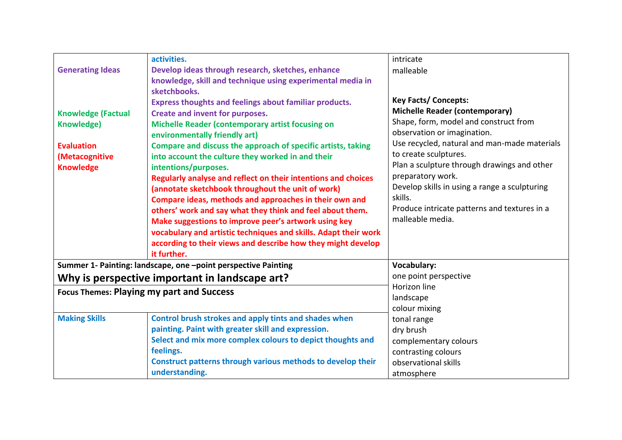|                           | activities.                                                                 | intricate                                                            |
|---------------------------|-----------------------------------------------------------------------------|----------------------------------------------------------------------|
| <b>Generating Ideas</b>   | Develop ideas through research, sketches, enhance                           | malleable                                                            |
|                           | knowledge, skill and technique using experimental media in                  |                                                                      |
|                           | sketchbooks.                                                                |                                                                      |
|                           | <b>Express thoughts and feelings about familiar products.</b>               | <b>Key Facts/ Concepts:</b>                                          |
| <b>Knowledge (Factual</b> | Create and invent for purposes.                                             | <b>Michelle Reader (contemporary)</b>                                |
| <b>Knowledge)</b>         | Michelle Reader (contemporary artist focusing on                            | Shape, form, model and construct from                                |
|                           | environmentally friendly art)                                               | observation or imagination.                                          |
| <b>Evaluation</b>         | Compare and discuss the approach of specific artists, taking                | Use recycled, natural and man-made materials                         |
| (Metacognitive            | into account the culture they worked in and their                           | to create sculptures.<br>Plan a sculpture through drawings and other |
| <b>Knowledge</b>          | intentions/purposes.                                                        | preparatory work.                                                    |
|                           | Regularly analyse and reflect on their intentions and choices               | Develop skills in using a range a sculpturing                        |
|                           | (annotate sketchbook throughout the unit of work)                           | skills.                                                              |
|                           | Compare ideas, methods and approaches in their own and                      | Produce intricate patterns and textures in a                         |
|                           | others' work and say what they think and feel about them.                   | malleable media.                                                     |
|                           | Make suggestions to improve peer's artwork using key                        |                                                                      |
|                           | vocabulary and artistic techniques and skills. Adapt their work             |                                                                      |
|                           | according to their views and describe how they might develop<br>it further. |                                                                      |
|                           | Summer 1- Painting: landscape, one -point perspective Painting              | <b>Vocabulary:</b>                                                   |
|                           |                                                                             | one point perspective                                                |
|                           | Why is perspective important in landscape art?                              | Horizon line                                                         |
|                           | <b>Focus Themes: Playing my part and Success</b>                            | landscape                                                            |
|                           |                                                                             | colour mixing                                                        |
| <b>Making Skills</b>      | Control brush strokes and apply tints and shades when                       | tonal range                                                          |
|                           | painting. Paint with greater skill and expression.                          | dry brush                                                            |
|                           | Select and mix more complex colours to depict thoughts and                  | complementary colours                                                |
|                           | feelings.                                                                   | contrasting colours                                                  |
|                           | Construct patterns through various methods to develop their                 | observational skills                                                 |
|                           | understanding.                                                              | atmosphere                                                           |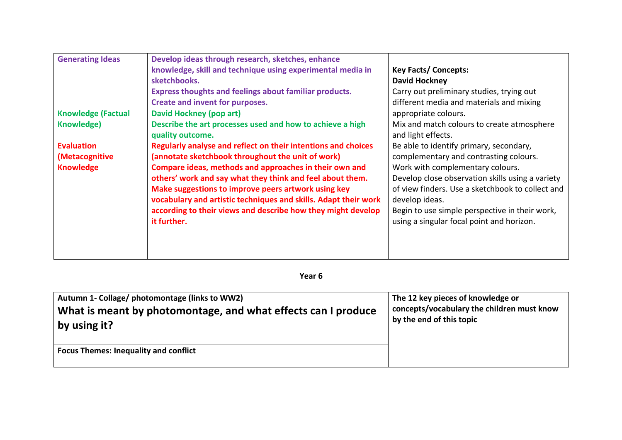| <b>Generating Ideas</b>   | Develop ideas through research, sketches, enhance               |                                                  |
|---------------------------|-----------------------------------------------------------------|--------------------------------------------------|
|                           | knowledge, skill and technique using experimental media in      | <b>Key Facts/ Concepts:</b>                      |
|                           | sketchbooks.                                                    | <b>David Hockney</b>                             |
|                           | <b>Express thoughts and feelings about familiar products.</b>   | Carry out preliminary studies, trying out        |
|                           | Create and invent for purposes.                                 | different media and materials and mixing         |
| <b>Knowledge (Factual</b> | <b>David Hockney (pop art)</b>                                  | appropriate colours.                             |
| Knowledge)                | Describe the art processes used and how to achieve a high       | Mix and match colours to create atmosphere       |
|                           | quality outcome.                                                | and light effects.                               |
| <b>Evaluation</b>         | Regularly analyse and reflect on their intentions and choices   | Be able to identify primary, secondary,          |
| (Metacognitive            | (annotate sketchbook throughout the unit of work)               | complementary and contrasting colours.           |
| <b>Knowledge</b>          | Compare ideas, methods and approaches in their own and          | Work with complementary colours.                 |
|                           | others' work and say what they think and feel about them.       | Develop close observation skills using a variety |
|                           | Make suggestions to improve peers artwork using key             | of view finders. Use a sketchbook to collect and |
|                           | vocabulary and artistic techniques and skills. Adapt their work | develop ideas.                                   |
|                           | according to their views and describe how they might develop    | Begin to use simple perspective in their work,   |
|                           | it further.                                                     | using a singular focal point and horizon.        |
|                           |                                                                 |                                                  |
|                           |                                                                 |                                                  |
|                           |                                                                 |                                                  |

| Autumn 1- Collage/ photomontage (links to WW2)                                | The 12 key pieces of knowledge or                                      |
|-------------------------------------------------------------------------------|------------------------------------------------------------------------|
| What is meant by photomontage, and what effects can I produce<br>by using it? | concepts/vocabulary the children must know<br>by the end of this topic |
| <b>Focus Themes: Inequality and conflict</b>                                  |                                                                        |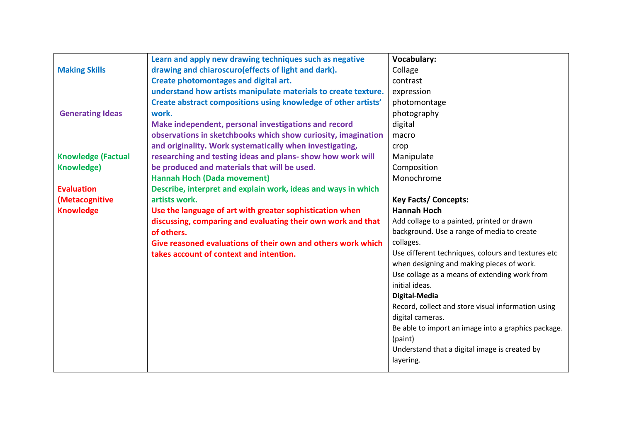|                           | Learn and apply new drawing techniques such as negative        | <b>Vocabulary:</b>                                  |
|---------------------------|----------------------------------------------------------------|-----------------------------------------------------|
| <b>Making Skills</b>      | drawing and chiaroscuro(effects of light and dark).            | Collage                                             |
|                           | Create photomontages and digital art.                          | contrast                                            |
|                           | understand how artists manipulate materials to create texture. | expression                                          |
|                           | Create abstract compositions using knowledge of other artists' | photomontage                                        |
| <b>Generating Ideas</b>   | work.                                                          | photography                                         |
|                           | Make independent, personal investigations and record           | digital                                             |
|                           | observations in sketchbooks which show curiosity, imagination  | macro                                               |
|                           | and originality. Work systematically when investigating,       | crop                                                |
| <b>Knowledge (Factual</b> | researching and testing ideas and plans- show how work will    | Manipulate                                          |
| <b>Knowledge)</b>         | be produced and materials that will be used.                   | Composition                                         |
|                           | <b>Hannah Hoch (Dada movement)</b>                             | Monochrome                                          |
| <b>Evaluation</b>         | Describe, interpret and explain work, ideas and ways in which  |                                                     |
| (Metacognitive            | artists work.                                                  | <b>Key Facts/ Concepts:</b>                         |
| <b>Knowledge</b>          | Use the language of art with greater sophistication when       | <b>Hannah Hoch</b>                                  |
|                           | discussing, comparing and evaluating their own work and that   | Add collage to a painted, printed or drawn          |
|                           | of others.                                                     | background. Use a range of media to create          |
|                           | Give reasoned evaluations of their own and others work which   | collages.                                           |
|                           | takes account of context and intention.                        | Use different techniques, colours and textures etc  |
|                           |                                                                | when designing and making pieces of work.           |
|                           |                                                                | Use collage as a means of extending work from       |
|                           |                                                                | initial ideas.                                      |
|                           |                                                                | Digital-Media                                       |
|                           |                                                                | Record, collect and store visual information using  |
|                           |                                                                | digital cameras.                                    |
|                           |                                                                | Be able to import an image into a graphics package. |
|                           |                                                                | (paint)                                             |
|                           |                                                                | Understand that a digital image is created by       |
|                           |                                                                | layering.                                           |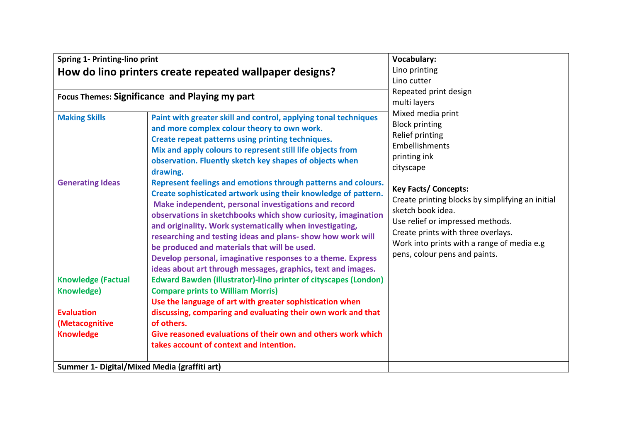| Spring 1- Printing-lino print                                                                             |                                                                                                                                                                                                                                                                                                                                                                                                                                                                                                                                                                                                                                                                                                                                                 | <b>Vocabulary:</b>                                                                                                                                                                                                                                                                                                                                                            |
|-----------------------------------------------------------------------------------------------------------|-------------------------------------------------------------------------------------------------------------------------------------------------------------------------------------------------------------------------------------------------------------------------------------------------------------------------------------------------------------------------------------------------------------------------------------------------------------------------------------------------------------------------------------------------------------------------------------------------------------------------------------------------------------------------------------------------------------------------------------------------|-------------------------------------------------------------------------------------------------------------------------------------------------------------------------------------------------------------------------------------------------------------------------------------------------------------------------------------------------------------------------------|
| How do lino printers create repeated wallpaper designs?                                                   |                                                                                                                                                                                                                                                                                                                                                                                                                                                                                                                                                                                                                                                                                                                                                 | Lino printing                                                                                                                                                                                                                                                                                                                                                                 |
|                                                                                                           |                                                                                                                                                                                                                                                                                                                                                                                                                                                                                                                                                                                                                                                                                                                                                 | Lino cutter                                                                                                                                                                                                                                                                                                                                                                   |
| Focus Themes: Significance and Playing my part                                                            |                                                                                                                                                                                                                                                                                                                                                                                                                                                                                                                                                                                                                                                                                                                                                 | Repeated print design<br>multi layers                                                                                                                                                                                                                                                                                                                                         |
| <b>Making Skills</b><br><b>Generating Ideas</b>                                                           | Paint with greater skill and control, applying tonal techniques<br>and more complex colour theory to own work.<br>Create repeat patterns using printing techniques.<br>Mix and apply colours to represent still life objects from<br>observation. Fluently sketch key shapes of objects when<br>drawing.<br>Represent feelings and emotions through patterns and colours.<br>Create sophisticated artwork using their knowledge of pattern.<br>Make independent, personal investigations and record<br>observations in sketchbooks which show curiosity, imagination<br>and originality. Work systematically when investigating,<br>researching and testing ideas and plans- show how work will<br>be produced and materials that will be used. | Mixed media print<br><b>Block printing</b><br>Relief printing<br>Embellishments<br>printing ink<br>cityscape<br><b>Key Facts/ Concepts:</b><br>Create printing blocks by simplifying an initial<br>sketch book idea.<br>Use relief or impressed methods.<br>Create prints with three overlays.<br>Work into prints with a range of media e.g<br>pens, colour pens and paints. |
| <b>Knowledge (Factual</b><br><b>Knowledge)</b><br><b>Evaluation</b><br>(Metacognitive<br><b>Knowledge</b> | Develop personal, imaginative responses to a theme. Express<br>ideas about art through messages, graphics, text and images.<br><b>Edward Bawden (illustrator)-lino printer of cityscapes (London)</b><br><b>Compare prints to William Morris)</b><br>Use the language of art with greater sophistication when<br>discussing, comparing and evaluating their own work and that<br>of others.<br>Give reasoned evaluations of their own and others work which<br>takes account of context and intention.                                                                                                                                                                                                                                          |                                                                                                                                                                                                                                                                                                                                                                               |
| Summer 1- Digital/Mixed Media (graffiti art)                                                              |                                                                                                                                                                                                                                                                                                                                                                                                                                                                                                                                                                                                                                                                                                                                                 |                                                                                                                                                                                                                                                                                                                                                                               |